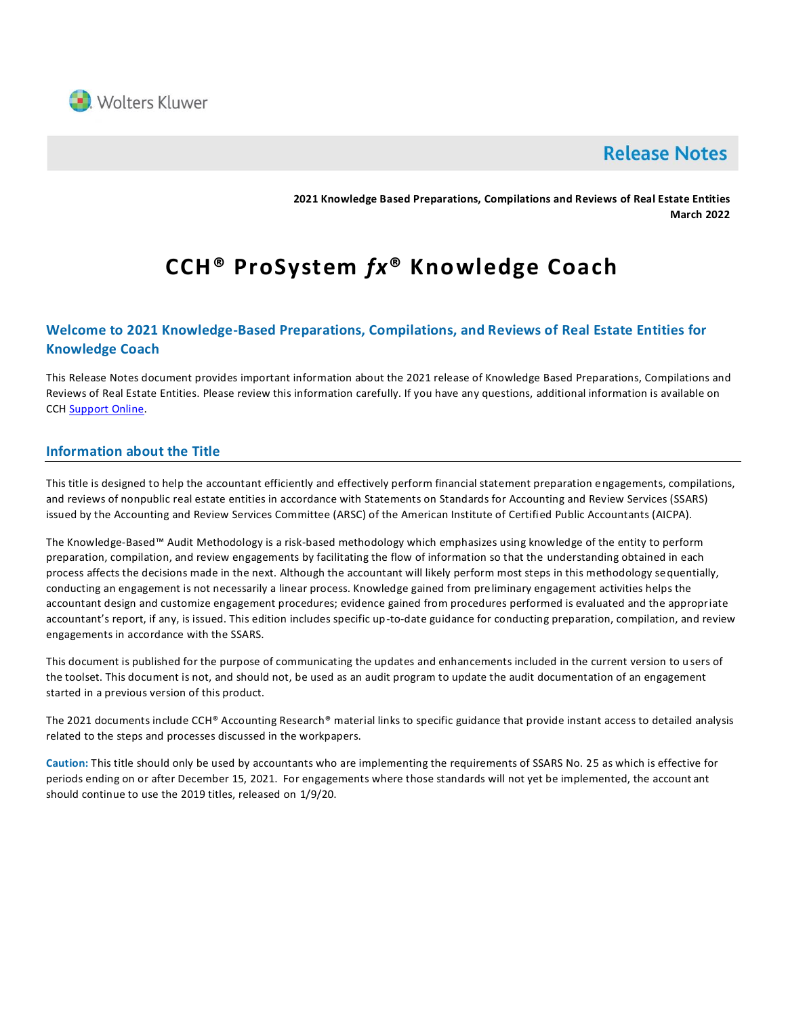

# **Release Notes**

**2021 Knowledge Based Preparations, Compilations and Reviews of Real Estate Entities March 2022**

# **CCH® ProSystem** *fx***® Knowledge Coach**

# **Welcome to 2021 Knowledge-Based Preparations, Compilations, and Reviews of Real Estate Entities for Knowledge Coach**

This Release Notes document provides important information about the 2021 release of Knowledge Based Preparations, Compilations and Reviews of Real Estate Entities. Please review this information carefully. If you have any questions, additional information is available on CCH [Support Online.](http://support.cch.com/productsupport/)

# **Information about the Title**

This title is designed to help the accountant efficiently and effectively perform financial statement preparation engagements, compilations, and reviews of nonpublic real estate entities in accordance with Statements on Standards for Accounting and Review Services (SSARS) issued by the Accounting and Review Services Committee (ARSC) of the American Institute of Certified Public Accountants (AICPA).

The Knowledge-Based™ Audit Methodology is a risk-based methodology which emphasizes using knowledge of the entity to perform preparation, compilation, and review engagements by facilitating the flow of information so that the understanding obtained in each process affects the decisions made in the next. Although the accountant will likely perform most steps in this methodology sequentially, conducting an engagement is not necessarily a linear process. Knowledge gained from preliminary engagement activities helps the accountant design and customize engagement procedures; evidence gained from procedures performed is evaluated and the appropriate accountant's report, if any, is issued. This edition includes specific up-to-date guidance for conducting preparation, compilation, and review engagements in accordance with the SSARS.

This document is published for the purpose of communicating the updates and enhancements included in the current version to u sers of the toolset. This document is not, and should not, be used as an audit program to update the audit documentation of an engagement started in a previous version of this product.

The 2021 documents include CCH® Accounting Research® material links to specific guidance that provide instant access to detailed analysis related to the steps and processes discussed in the workpapers.

**Caution:** This title should only be used by accountants who are implementing the requirements of SSARS No. 25 as which is effective for periods ending on or after December 15, 2021. For engagements where those standards will not yet be implemented, the account ant should continue to use the 2019 titles, released on 1/9/20.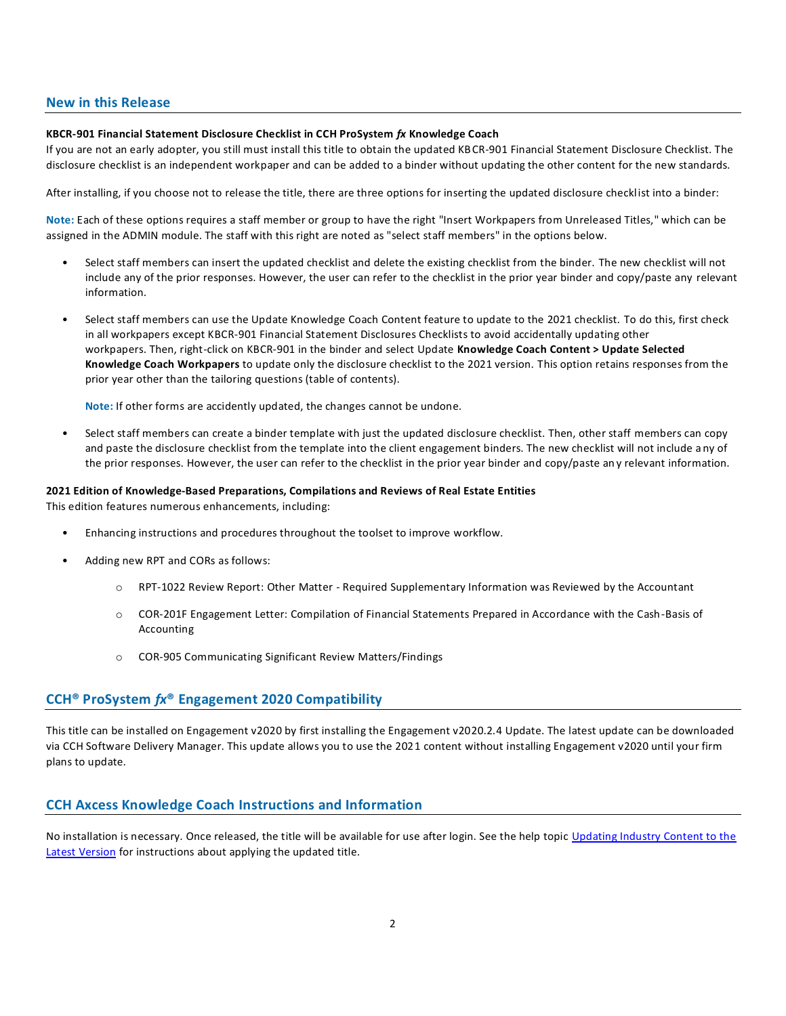# **New in this Release**

#### **KBCR-901 Financial Statement Disclosure Checklist in CCH ProSystem** *fx* **Knowledge Coach**

If you are not an early adopter, you still must install this title to obtain the updated KBCR-901 Financial Statement Disclosure Checklist. The disclosure checklist is an independent workpaper and can be added to a binder without updating the other content for the new standards.

After installing, if you choose not to release the title, there are three options for inserting the updated disclosure checklist into a binder:

**Note:** Each of these options requires a staff member or group to have the right "Insert Workpapers from Unreleased Titles," which can be assigned in the ADMIN module. The staff with this right are noted as "select staff members" in the options below.

- Select staff members can insert the updated checklist and delete the existing checklist from the binder. The new checklist will not include any of the prior responses. However, the user can refer to the checklist in the prior year binder and copy/paste any relevant information.
- Select staff members can use the Update Knowledge Coach Content feature to update to the 2021 checklist. To do this, first check in all workpapers except KBCR-901 Financial Statement Disclosures Checklists to avoid accidentally updating other workpapers. Then, right-click on KBCR-901 in the binder and select Update **Knowledge Coach Content > Update Selected Knowledge Coach Workpapers** to update only the disclosure checklist to the 2021 version. This option retains responses from the prior year other than the tailoring questions (table of contents).

**Note:** If other forms are accidently updated, the changes cannot be undone.

• Select staff members can create a binder template with just the updated disclosure checklist. Then, other staff members can copy and paste the disclosure checklist from the template into the client engagement binders. The new checklist will not include a ny of the prior responses. However, the user can refer to the checklist in the prior year binder and copy/paste an y relevant information.

#### **2021 Edition of Knowledge-Based Preparations, Compilations and Reviews of Real Estate Entities**

This edition features numerous enhancements, including:

- Enhancing instructions and procedures throughout the toolset to improve workflow.
- Adding new RPT and CORs as follows:
	- o RPT-1022 Review Report: Other Matter Required Supplementary Information was Reviewed by the Accountant
	- o COR-201F Engagement Letter: Compilation of Financial Statements Prepared in Accordance with the Cash-Basis of Accounting
	- o COR-905 Communicating Significant Review Matters/Findings

# **CCH® ProSystem** *fx***® Engagement 2020 Compatibility**

This title can be installed on Engagement v2020 by first installing the Engagement v2020.2.4 Update. The latest update can be downloaded via CCH Software Delivery Manager. This update allows you to use the 2021 content without installing Engagement v2020 until your firm plans to update.

# **CCH Axcess Knowledge Coach Instructions and Information**

No installation is necessary. Once released, the title will be available for use after login. See the help topic [Updating Industry Content to the](https://knowledgecoach.cchaxcess.com/Knowledge-Coach/Content/Engagements/Eng-Update-content.htm)  [Latest Version](https://knowledgecoach.cchaxcess.com/Knowledge-Coach/Content/Engagements/Eng-Update-content.htm) for instructions about applying the updated title.